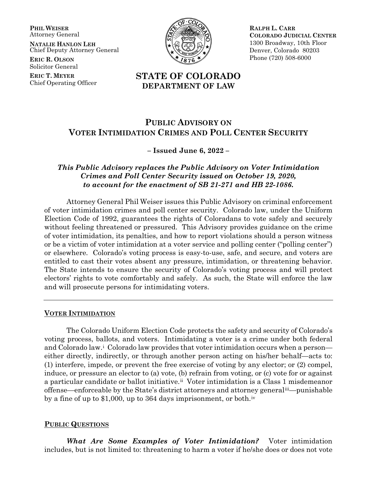**PHIL WEISER** Attorney General

**NATALIE HANLON LEH** Chief Deputy Attorney General

**ERIC R. OLSON** Solicitor General

**ERIC T. MEYER** Chief Operating Officer



**RALPH L. CARR COLORADO JUDICIAL CENTER** 1300 Broadway, 10th Floor Denver, Colorado 80203 Phone (720) 508-6000

# **STATE OF COLORADO DEPARTMENT OF LAW**

# **PUBLIC ADVISORY ON VOTER INTIMIDATION CRIMES AND POLL CENTER SECURITY**

### **– Issued June 6, 2022 –**

## *This Public Advisory replaces the Public Advisory on Voter Intimidation Crimes and Poll Center Security issued on October 19, 2020, to account for the enactment of SB 21-271 and HB 22-1086.*

Attorney General Phil Weiser issues this Public Advisory on criminal enforcement of voter intimidation crimes and poll center security. Colorado law, under the Uniform Election Code of 1992, guarantees the rights of Coloradans to vote safely and securely without feeling threatened or pressured. This Advisory provides guidance on the crime of voter intimidation, its penalties, and how to report violations should a person witness or be a victim of voter intimidation at a voter service and polling center ("polling center") or elsewhere. Colorado's voting process is easy-to-use, safe, and secure, and voters are entitled to cast their votes absent any pressure, intimidation, or threatening behavior. The State intends to ensure the security of Colorado's voting process and will protect electors' rights to vote comfortably and safely. As such, the State will enforce the law and will prosecute persons for intimidating voters.

#### **VOTER INTIMIDATION**

The Colorado Uniform Election Code protects the safety and security of Colorado's voting process, ballots, and voters. Intimidating a voter is a crime under both federal and Colorado law.<sup>[i](#page-2-0)</sup> Colorado law provides that voter intimidation occurs when a person either directly, indirectly, or through another person acting on his/her behalf—acts to: (1) interfere, impede, or prevent the free exercise of voting by any elector; or (2) compel, induce, or pressure an elector to (a) vote, (b) refrain from voting, or (c) vote for or against a particular candidate or ballot initiative.[ii](#page-2-1) Voter intimidation is a Class 1 misdemeanor offense—enforceable by the State's district attorneys and attorney general[iii—](#page-2-2)punishable by a fine of up to \$1,000, up to 364 days imprisonment, or both.[iv](#page-2-3)

## **PUBLIC QUESTIONS**

*What Are Some Examples of Voter Intimidation?* Voter intimidation includes, but is not limited to: threatening to harm a voter if he/she does or does not vote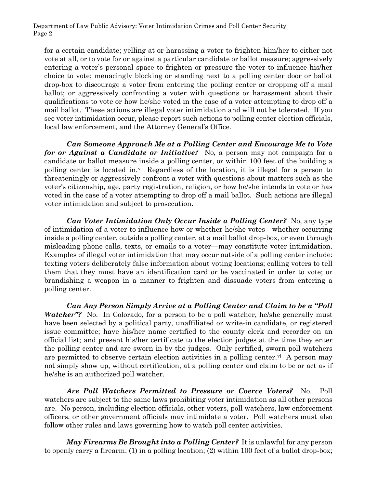Department of Law Public Advisory: Voter Intimidation Crimes and Poll Center Security Page 2

for a certain candidate; yelling at or harassing a voter to frighten him/her to either not vote at all, or to vote for or against a particular candidate or ballot measure; aggressively entering a voter's personal space to frighten or pressure the voter to influence his/her choice to vote; menacingly blocking or standing next to a polling center door or ballot drop-box to discourage a voter from entering the polling center or dropping off a mail ballot; or aggressively confronting a voter with questions or harassment about their qualifications to vote or how he/she voted in the case of a voter attempting to drop off a mail ballot. These actions are illegal voter intimidation and will not be tolerated. If you see voter intimidation occur, please report such actions to polling center election officials, local law enforcement, and the Attorney General's Office.

*Can Someone Approach Me at a Polling Center and Encourage Me to Vote for or Against a Candidate or Initiative?* No, a person may not campaign for a candidate or ballot measure inside a polling center, or within 100 feet of the building a polling center is located in.[v](#page-2-4) Regardless of the location, it is illegal for a person to threateningly or aggressively confront a voter with questions about matters such as the voter's citizenship, age, party registration, religion, or how he/she intends to vote or has voted in the case of a voter attempting to drop off a mail ballot. Such actions are illegal voter intimidation and subject to prosecution.

*Can Voter Intimidation Only Occur Inside a Polling Center?* No, any type of intimidation of a voter to influence how or whether he/she votes—whether occurring inside a polling center, outside a polling center, at a mail ballot drop-box, or even through misleading phone calls, texts, or emails to a voter—may constitute voter intimidation. Examples of illegal voter intimidation that may occur outside of a polling center include: texting voters deliberately false information about voting locations; calling voters to tell them that they must have an identification card or be vaccinated in order to vote; or brandishing a weapon in a manner to frighten and dissuade voters from entering a polling center.

*Can Any Person Simply Arrive at a Polling Center and Claim to be a "Poll Watcher*"? No. In Colorado, for a person to be a poll watcher, he/she generally must have been selected by a political party, unaffiliated or write-in candidate, or registered issue committee; have his/her name certified to the county clerk and recorder on an official list; and present his/her certificate to the election judges at the time they enter the polling center and are sworn in by the judges. Only certified, sworn poll watchers are permitted to observe certain election acti[vi](#page-2-5)ties in a polling center.<sup>vi</sup> A person may not simply show up, without certification, at a polling center and claim to be or act as if he/she is an authorized poll watcher.

*Are Poll Watchers Permitted to Pressure or Coerce Voters?* No. Poll watchers are subject to the same laws prohibiting voter intimidation as all other persons are. No person, including election officials, other voters, poll watchers, law enforcement officers, or other government officials may intimidate a voter. Poll watchers must also follow other rules and laws governing how to watch poll center activities.

*May Firearms Be Brought into a Polling Center?* It is unlawful for any person to openly carry a firearm: (1) in a polling location; (2) within 100 feet of a ballot drop-box;